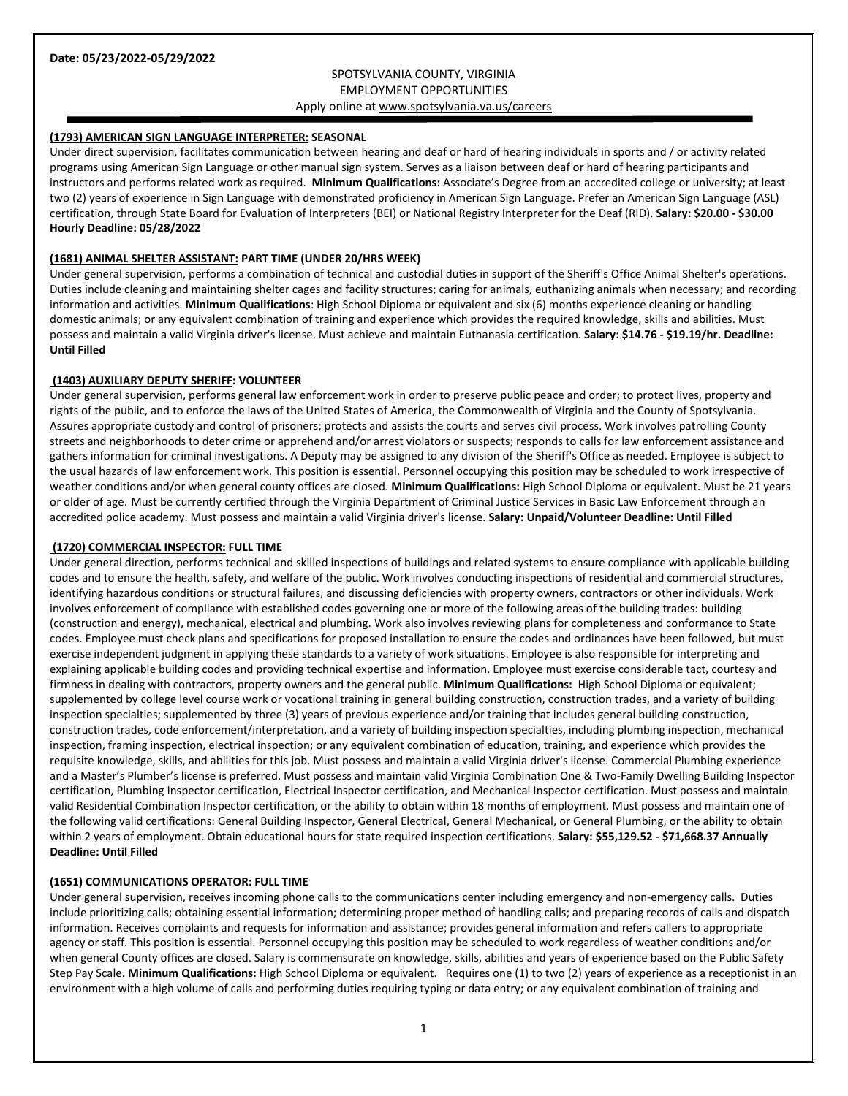# SPOTSYLVANIA COUNTY, VIRGINIA EMPLOYMENT OPPORTUNITIES

# Apply online a[t www.spotsylvania.va.us/careers](http://www.spotsylvania.va.us/careers)

# **(1793) AMERICAN SIGN LANGUAGE INTERPRETER: SEASONAL**

Under direct supervision, facilitates communication between hearing and deaf or hard of hearing individuals in sports and / or activity related programs using American Sign Language or other manual sign system. Serves as a liaison between deaf or hard of hearing participants and instructors and performs related work as required. **Minimum Qualifications:** Associate's Degree from an accredited college or university; at least two (2) years of experience in Sign Language with demonstrated proficiency in American Sign Language. Prefer an American Sign Language (ASL) certification, through State Board for Evaluation of Interpreters (BEI) or National Registry Interpreter for the Deaf (RID). **Salary: \$20.00 - \$30.00 Hourly Deadline: 05/28/2022**

#### **(1681) ANIMAL SHELTER ASSISTANT: PART TIME (UNDER 20/HRS WEEK)**

Under general supervision, performs a combination of technical and custodial duties in support of the Sheriff's Office Animal Shelter's operations. Duties include cleaning and maintaining shelter cages and facility structures; caring for animals, euthanizing animals when necessary; and recording information and activities. **Minimum Qualifications**: High School Diploma or equivalent and six (6) months experience cleaning or handling domestic animals; or any equivalent combination of training and experience which provides the required knowledge, skills and abilities. Must possess and maintain a valid Virginia driver's license. Must achieve and maintain Euthanasia certification. **Salary: \$14.76 - \$19.19/hr. Deadline: Until Filled**

#### **(1403) AUXILIARY DEPUTY SHERIFF: VOLUNTEER**

Under general supervision, performs general law enforcement work in order to preserve public peace and order; to protect lives, property and rights of the public, and to enforce the laws of the United States of America, the Commonwealth of Virginia and the County of Spotsylvania. Assures appropriate custody and control of prisoners; protects and assists the courts and serves civil process. Work involves patrolling County streets and neighborhoods to deter crime or apprehend and/or arrest violators or suspects; responds to calls for law enforcement assistance and gathers information for criminal investigations. A Deputy may be assigned to any division of the Sheriff's Office as needed. Employee is subject to the usual hazards of law enforcement work. This position is essential. Personnel occupying this position may be scheduled to work irrespective of weather conditions and/or when general county offices are closed. **Minimum Qualifications:** High School Diploma or equivalent. Must be 21 years or older of age. Must be currently certified through the Virginia Department of Criminal Justice Services in Basic Law Enforcement through an accredited police academy. Must possess and maintain a valid Virginia driver's license. **Salary: Unpaid/Volunteer Deadline: Until Filled**

#### **(1720) COMMERCIAL INSPECTOR: FULL TIME**

Under general direction, performs technical and skilled inspections of buildings and related systems to ensure compliance with applicable building codes and to ensure the health, safety, and welfare of the public. Work involves conducting inspections of residential and commercial structures, identifying hazardous conditions or structural failures, and discussing deficiencies with property owners, contractors or other individuals. Work involves enforcement of compliance with established codes governing one or more of the following areas of the building trades: building (construction and energy), mechanical, electrical and plumbing. Work also involves reviewing plans for completeness and conformance to State codes. Employee must check plans and specifications for proposed installation to ensure the codes and ordinances have been followed, but must exercise independent judgment in applying these standards to a variety of work situations. Employee is also responsible for interpreting and explaining applicable building codes and providing technical expertise and information. Employee must exercise considerable tact, courtesy and firmness in dealing with contractors, property owners and the general public. **Minimum Qualifications:** High School Diploma or equivalent; supplemented by college level course work or vocational training in general building construction, construction trades, and a variety of building inspection specialties; supplemented by three (3) years of previous experience and/or training that includes general building construction, construction trades, code enforcement/interpretation, and a variety of building inspection specialties, including plumbing inspection, mechanical inspection, framing inspection, electrical inspection; or any equivalent combination of education, training, and experience which provides the requisite knowledge, skills, and abilities for this job. Must possess and maintain a valid Virginia driver's license. Commercial Plumbing experience and a Master's Plumber's license is preferred. Must possess and maintain valid Virginia Combination One & Two-Family Dwelling Building Inspector certification, Plumbing Inspector certification, Electrical Inspector certification, and Mechanical Inspector certification. Must possess and maintain valid Residential Combination Inspector certification, or the ability to obtain within 18 months of employment. Must possess and maintain one of the following valid certifications: General Building Inspector, General Electrical, General Mechanical, or General Plumbing, or the ability to obtain within 2 years of employment. Obtain educational hours for state required inspection certifications. **Salary: \$55,129.52 - \$71,668.37 Annually Deadline: Until Filled**

#### **(1651) COMMUNICATIONS OPERATOR: FULL TIME**

Under general supervision, receives incoming phone calls to the communications center including emergency and non-emergency calls. Duties include prioritizing calls; obtaining essential information; determining proper method of handling calls; and preparing records of calls and dispatch information. Receives complaints and requests for information and assistance; provides general information and refers callers to appropriate agency or staff. This position is essential. Personnel occupying this position may be scheduled to work regardless of weather conditions and/or when general County offices are closed. Salary is commensurate on knowledge, skills, abilities and years of experience based on the Public Safety Step Pay Scale. **Minimum Qualifications:** High School Diploma or equivalent. Requires one (1) to two (2) years of experience as a receptionist in an environment with a high volume of calls and performing duties requiring typing or data entry; or any equivalent combination of training and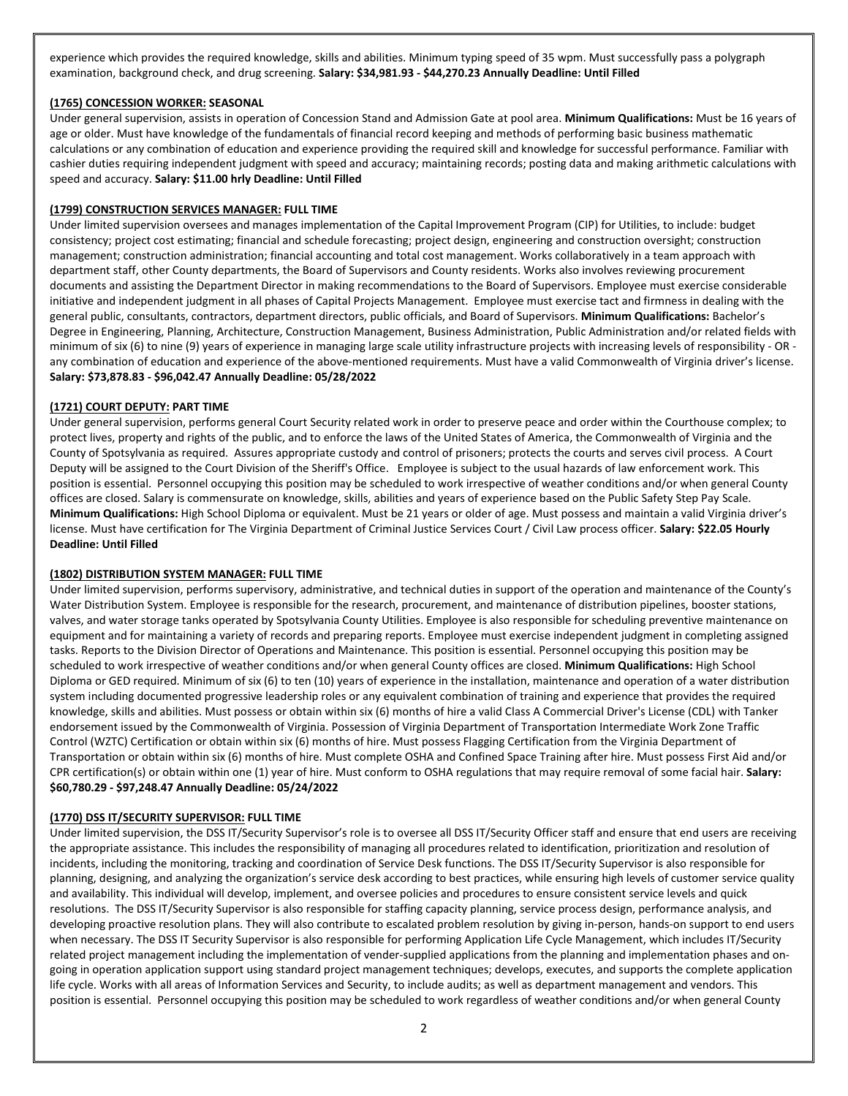experience which provides the required knowledge, skills and abilities. Minimum typing speed of 35 wpm. Must successfully pass a polygraph examination, background check, and drug screening. **Salary: \$34,981.93 - \$44,270.23 Annually Deadline: Until Filled**

# **(1765) CONCESSION WORKER: SEASONAL**

Under general supervision, assists in operation of Concession Stand and Admission Gate at pool area. **Minimum Qualifications:** Must be 16 years of age or older. Must have knowledge of the fundamentals of financial record keeping and methods of performing basic business mathematic calculations or any combination of education and experience providing the required skill and knowledge for successful performance. Familiar with cashier duties requiring independent judgment with speed and accuracy; maintaining records; posting data and making arithmetic calculations with speed and accuracy. **Salary: \$11.00 hrly Deadline: Until Filled**

## **(1799) CONSTRUCTION SERVICES MANAGER: FULL TIME**

Under limited supervision oversees and manages implementation of the Capital Improvement Program (CIP) for Utilities, to include: budget consistency; project cost estimating; financial and schedule forecasting; project design, engineering and construction oversight; construction management; construction administration; financial accounting and total cost management. Works collaboratively in a team approach with department staff, other County departments, the Board of Supervisors and County residents. Works also involves reviewing procurement documents and assisting the Department Director in making recommendations to the Board of Supervisors. Employee must exercise considerable initiative and independent judgment in all phases of Capital Projects Management. Employee must exercise tact and firmness in dealing with the general public, consultants, contractors, department directors, public officials, and Board of Supervisors. **Minimum Qualifications:** Bachelor's Degree in Engineering, Planning, Architecture, Construction Management, Business Administration, Public Administration and/or related fields with minimum of six (6) to nine (9) years of experience in managing large scale utility infrastructure projects with increasing levels of responsibility - OR any combination of education and experience of the above-mentioned requirements. Must have a valid Commonwealth of Virginia driver's license. **Salary: \$73,878.83 - \$96,042.47 Annually Deadline: 05/28/2022**

#### **(1721) COURT DEPUTY: PART TIME**

Under general supervision, performs general Court Security related work in order to preserve peace and order within the Courthouse complex; to protect lives, property and rights of the public, and to enforce the laws of the United States of America, the Commonwealth of Virginia and the County of Spotsylvania as required. Assures appropriate custody and control of prisoners; protects the courts and serves civil process. A Court Deputy will be assigned to the Court Division of the Sheriff's Office. Employee is subject to the usual hazards of law enforcement work. This position is essential. Personnel occupying this position may be scheduled to work irrespective of weather conditions and/or when general County offices are closed. Salary is commensurate on knowledge, skills, abilities and years of experience based on the Public Safety Step Pay Scale. **Minimum Qualifications:** High School Diploma or equivalent. Must be 21 years or older of age. Must possess and maintain a valid Virginia driver's license. Must have certification for The Virginia Department of Criminal Justice Services Court / Civil Law process officer. **Salary: \$22.05 Hourly Deadline: Until Filled**

#### **(1802) DISTRIBUTION SYSTEM MANAGER: FULL TIME**

Under limited supervision, performs supervisory, administrative, and technical duties in support of the operation and maintenance of the County's Water Distribution System. Employee is responsible for the research, procurement, and maintenance of distribution pipelines, booster stations, valves, and water storage tanks operated by Spotsylvania County Utilities. Employee is also responsible for scheduling preventive maintenance on equipment and for maintaining a variety of records and preparing reports. Employee must exercise independent judgment in completing assigned tasks. Reports to the Division Director of Operations and Maintenance. This position is essential. Personnel occupying this position may be scheduled to work irrespective of weather conditions and/or when general County offices are closed. **Minimum Qualifications:** High School Diploma or GED required. Minimum of six (6) to ten (10) years of experience in the installation, maintenance and operation of a water distribution system including documented progressive leadership roles or any equivalent combination of training and experience that provides the required knowledge, skills and abilities. Must possess or obtain within six (6) months of hire a valid Class A Commercial Driver's License (CDL) with Tanker endorsement issued by the Commonwealth of Virginia. Possession of Virginia Department of Transportation Intermediate Work Zone Traffic Control (WZTC) Certification or obtain within six (6) months of hire. Must possess Flagging Certification from the Virginia Department of Transportation or obtain within six (6) months of hire. Must complete OSHA and Confined Space Training after hire. Must possess First Aid and/or CPR certification(s) or obtain within one (1) year of hire. Must conform to OSHA regulations that may require removal of some facial hair. **Salary: \$60,780.29 - \$97,248.47 Annually Deadline: 05/24/2022**

#### **(1770) DSS IT/SECURITY SUPERVISOR: FULL TIME**

Under limited supervision, the DSS IT/Security Supervisor's role is to oversee all DSS IT/Security Officer staff and ensure that end users are receiving the appropriate assistance. This includes the responsibility of managing all procedures related to identification, prioritization and resolution of incidents, including the monitoring, tracking and coordination of Service Desk functions. The DSS IT/Security Supervisor is also responsible for planning, designing, and analyzing the organization's service desk according to best practices, while ensuring high levels of customer service quality and availability. This individual will develop, implement, and oversee policies and procedures to ensure consistent service levels and quick resolutions. The DSS IT/Security Supervisor is also responsible for staffing capacity planning, service process design, performance analysis, and developing proactive resolution plans. They will also contribute to escalated problem resolution by giving in-person, hands-on support to end users when necessary. The DSS IT Security Supervisor is also responsible for performing Application Life Cycle Management, which includes IT/Security related project management including the implementation of vender-supplied applications from the planning and implementation phases and ongoing in operation application support using standard project management techniques; develops, executes, and supports the complete application life cycle. Works with all areas of Information Services and Security, to include audits; as well as department management and vendors. This position is essential. Personnel occupying this position may be scheduled to work regardless of weather conditions and/or when general County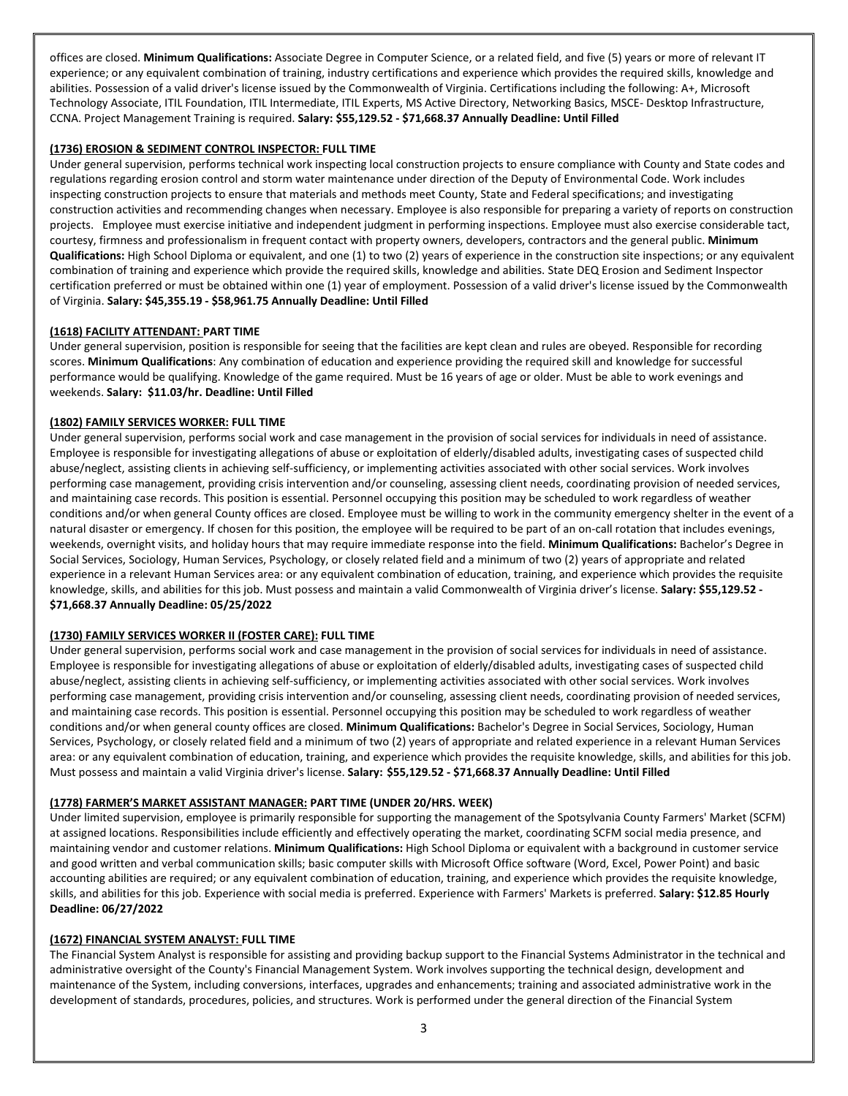offices are closed. **Minimum Qualifications:** Associate Degree in Computer Science, or a related field, and five (5) years or more of relevant IT experience; or any equivalent combination of training, industry certifications and experience which provides the required skills, knowledge and abilities. Possession of a valid driver's license issued by the Commonwealth of Virginia. Certifications including the following: A+, Microsoft Technology Associate, ITIL Foundation, ITIL Intermediate, ITIL Experts, MS Active Directory, Networking Basics, MSCE- Desktop Infrastructure, CCNA. Project Management Training is required. **Salary: \$55,129.52 - \$71,668.37 Annually Deadline: Until Filled**

# **(1736) EROSION & SEDIMENT CONTROL INSPECTOR: FULL TIME**

Under general supervision, performs technical work inspecting local construction projects to ensure compliance with County and State codes and regulations regarding erosion control and storm water maintenance under direction of the Deputy of Environmental Code. Work includes inspecting construction projects to ensure that materials and methods meet County, State and Federal specifications; and investigating construction activities and recommending changes when necessary. Employee is also responsible for preparing a variety of reports on construction projects. Employee must exercise initiative and independent judgment in performing inspections. Employee must also exercise considerable tact, courtesy, firmness and professionalism in frequent contact with property owners, developers, contractors and the general public. **Minimum Qualifications:** High School Diploma or equivalent, and one (1) to two (2) years of experience in the construction site inspections; or any equivalent combination of training and experience which provide the required skills, knowledge and abilities. State DEQ Erosion and Sediment Inspector certification preferred or must be obtained within one (1) year of employment. Possession of a valid driver's license issued by the Commonwealth of Virginia. **Salary: \$45,355.19 - \$58,961.75 Annually Deadline: Until Filled**

## **(1618) FACILITY ATTENDANT: PART TIME**

Under general supervision, position is responsible for seeing that the facilities are kept clean and rules are obeyed. Responsible for recording scores. **Minimum Qualifications**: Any combination of education and experience providing the required skill and knowledge for successful performance would be qualifying. Knowledge of the game required. Must be 16 years of age or older. Must be able to work evenings and weekends. **Salary: \$11.03/hr. Deadline: Until Filled**

## **(1802) FAMILY SERVICES WORKER: FULL TIME**

Under general supervision, performs social work and case management in the provision of social services for individuals in need of assistance. Employee is responsible for investigating allegations of abuse or exploitation of elderly/disabled adults, investigating cases of suspected child abuse/neglect, assisting clients in achieving self-sufficiency, or implementing activities associated with other social services. Work involves performing case management, providing crisis intervention and/or counseling, assessing client needs, coordinating provision of needed services, and maintaining case records. This position is essential. Personnel occupying this position may be scheduled to work regardless of weather conditions and/or when general County offices are closed. Employee must be willing to work in the community emergency shelter in the event of a natural disaster or emergency. If chosen for this position, the employee will be required to be part of an on-call rotation that includes evenings, weekends, overnight visits, and holiday hours that may require immediate response into the field. **Minimum Qualifications:** Bachelor's Degree in Social Services, Sociology, Human Services, Psychology, or closely related field and a minimum of two (2) years of appropriate and related experience in a relevant Human Services area: or any equivalent combination of education, training, and experience which provides the requisite knowledge, skills, and abilities for this job. Must possess and maintain a valid Commonwealth of Virginia driver's license. **Salary: \$55,129.52 - \$71,668.37 Annually Deadline: 05/25/2022**

#### **(1730) FAMILY SERVICES WORKER II (FOSTER CARE): FULL TIME**

Under general supervision, performs social work and case management in the provision of social services for individuals in need of assistance. Employee is responsible for investigating allegations of abuse or exploitation of elderly/disabled adults, investigating cases of suspected child abuse/neglect, assisting clients in achieving self-sufficiency, or implementing activities associated with other social services. Work involves performing case management, providing crisis intervention and/or counseling, assessing client needs, coordinating provision of needed services, and maintaining case records. This position is essential. Personnel occupying this position may be scheduled to work regardless of weather conditions and/or when general county offices are closed. **Minimum Qualifications:** Bachelor's Degree in Social Services, Sociology, Human Services, Psychology, or closely related field and a minimum of two (2) years of appropriate and related experience in a relevant Human Services area: or any equivalent combination of education, training, and experience which provides the requisite knowledge, skills, and abilities for this job. Must possess and maintain a valid Virginia driver's license. **Salary: \$55,129.52 - \$71,668.37 Annually Deadline: Until Filled**

# **(1778) FARMER'S MARKET ASSISTANT MANAGER: PART TIME (UNDER 20/HRS. WEEK)**

Under limited supervision, employee is primarily responsible for supporting the management of the Spotsylvania County Farmers' Market (SCFM) at assigned locations. Responsibilities include efficiently and effectively operating the market, coordinating SCFM social media presence, and maintaining vendor and customer relations. **Minimum Qualifications:** High School Diploma or equivalent with a background in customer service and good written and verbal communication skills; basic computer skills with Microsoft Office software (Word, Excel, Power Point) and basic accounting abilities are required; or any equivalent combination of education, training, and experience which provides the requisite knowledge, skills, and abilities for this job. Experience with social media is preferred. Experience with Farmers' Markets is preferred. **Salary: \$12.85 Hourly Deadline: 06/27/2022**

#### **(1672) FINANCIAL SYSTEM ANALYST: FULL TIME**

The Financial System Analyst is responsible for assisting and providing backup support to the Financial Systems Administrator in the technical and administrative oversight of the County's Financial Management System. Work involves supporting the technical design, development and maintenance of the System, including conversions, interfaces, upgrades and enhancements; training and associated administrative work in the development of standards, procedures, policies, and structures. Work is performed under the general direction of the Financial System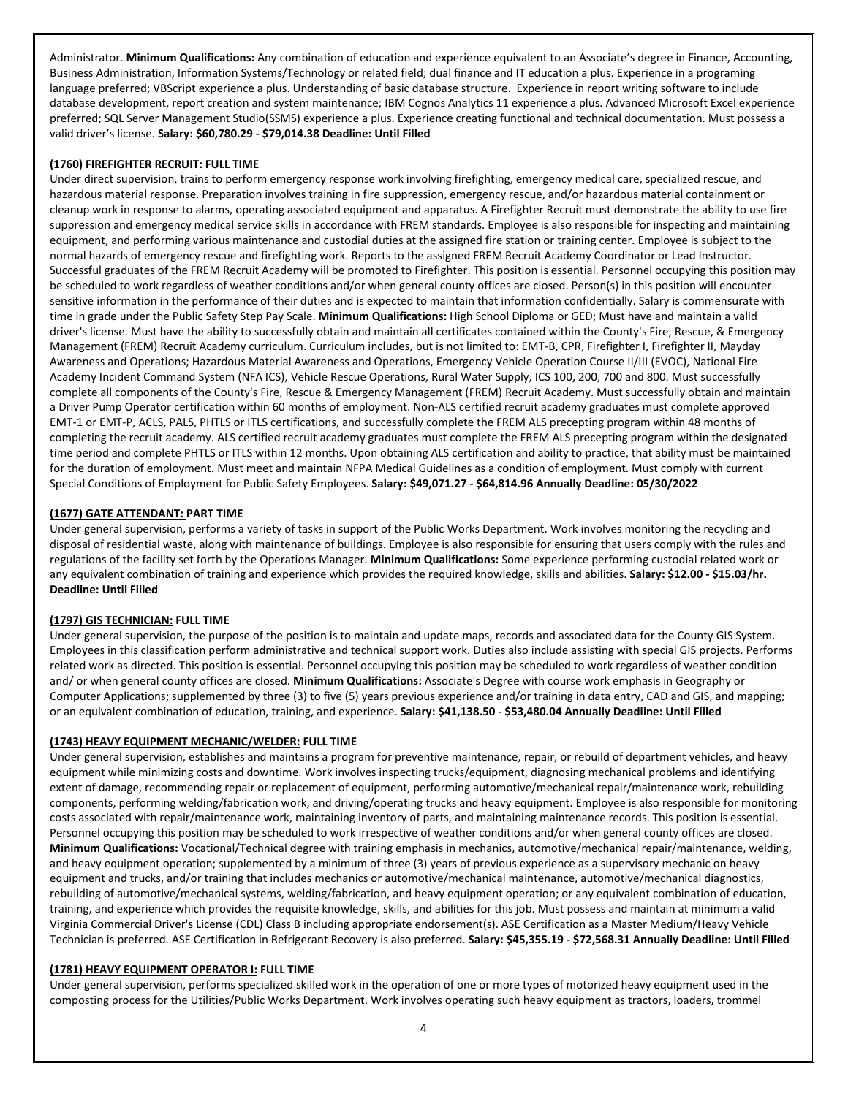Administrator. **Minimum Qualifications:** Any combination of education and experience equivalent to an Associate's degree in Finance, Accounting, Business Administration, Information Systems/Technology or related field; dual finance and IT education a plus. Experience in a programing language preferred; VBScript experience a plus. Understanding of basic database structure. Experience in report writing software to include database development, report creation and system maintenance; IBM Cognos Analytics 11 experience a plus. Advanced Microsoft Excel experience preferred; SQL Server Management Studio(SSMS) experience a plus. Experience creating functional and technical documentation. Must possess a valid driver's license. **Salary: \$60,780.29 - \$79,014.38 Deadline: Until Filled**

# **(1760) FIREFIGHTER RECRUIT: FULL TIME**

Under direct supervision, trains to perform emergency response work involving firefighting, emergency medical care, specialized rescue, and hazardous material response. Preparation involves training in fire suppression, emergency rescue, and/or hazardous material containment or cleanup work in response to alarms, operating associated equipment and apparatus. A Firefighter Recruit must demonstrate the ability to use fire suppression and emergency medical service skills in accordance with FREM standards. Employee is also responsible for inspecting and maintaining equipment, and performing various maintenance and custodial duties at the assigned fire station or training center. Employee is subject to the normal hazards of emergency rescue and firefighting work. Reports to the assigned FREM Recruit Academy Coordinator or Lead Instructor. Successful graduates of the FREM Recruit Academy will be promoted to Firefighter. This position is essential. Personnel occupying this position may be scheduled to work regardless of weather conditions and/or when general county offices are closed. Person(s) in this position will encounter sensitive information in the performance of their duties and is expected to maintain that information confidentially. Salary is commensurate with time in grade under the Public Safety Step Pay Scale. **Minimum Qualifications:** High School Diploma or GED; Must have and maintain a valid driver's license. Must have the ability to successfully obtain and maintain all certificates contained within the County's Fire, Rescue, & Emergency Management (FREM) Recruit Academy curriculum. Curriculum includes, but is not limited to: EMT-B, CPR, Firefighter I, Firefighter II, Mayday Awareness and Operations; Hazardous Material Awareness and Operations, Emergency Vehicle Operation Course II/III (EVOC), National Fire Academy Incident Command System (NFA ICS), Vehicle Rescue Operations, Rural Water Supply, ICS 100, 200, 700 and 800. Must successfully complete all components of the County's Fire, Rescue & Emergency Management (FREM) Recruit Academy. Must successfully obtain and maintain a Driver Pump Operator certification within 60 months of employment. Non-ALS certified recruit academy graduates must complete approved EMT-1 or EMT-P, ACLS, PALS, PHTLS or ITLS certifications, and successfully complete the FREM ALS precepting program within 48 months of completing the recruit academy. ALS certified recruit academy graduates must complete the FREM ALS precepting program within the designated time period and complete PHTLS or ITLS within 12 months. Upon obtaining ALS certification and ability to practice, that ability must be maintained for the duration of employment. Must meet and maintain NFPA Medical Guidelines as a condition of employment. Must comply with current Special Conditions of Employment for Public Safety Employees. **Salary: \$49,071.27 - \$64,814.96 Annually Deadline: 05/30/2022**

# **(1677) GATE ATTENDANT: PART TIME**

Under general supervision, performs a variety of tasks in support of the Public Works Department. Work involves monitoring the recycling and disposal of residential waste, along with maintenance of buildings. Employee is also responsible for ensuring that users comply with the rules and regulations of the facility set forth by the Operations Manager. **Minimum Qualifications:** Some experience performing custodial related work or any equivalent combination of training and experience which provides the required knowledge, skills and abilities. **Salary: \$12.00 - \$15.03/hr. Deadline: Until Filled**

# **(1797) GIS TECHNICIAN: FULL TIME**

Under general supervision, the purpose of the position is to maintain and update maps, records and associated data for the County GIS System. Employees in this classification perform administrative and technical support work. Duties also include assisting with special GIS projects. Performs related work as directed. This position is essential. Personnel occupying this position may be scheduled to work regardless of weather condition and/ or when general county offices are closed. **Minimum Qualifications:** Associate's Degree with course work emphasis in Geography or Computer Applications; supplemented by three (3) to five (5) years previous experience and/or training in data entry, CAD and GIS, and mapping; or an equivalent combination of education, training, and experience. **Salary: \$41,138.50 - \$53,480.04 Annually Deadline: Until Filled**

#### **(1743) HEAVY EQUIPMENT MECHANIC/WELDER: FULL TIME**

Under general supervision, establishes and maintains a program for preventive maintenance, repair, or rebuild of department vehicles, and heavy equipment while minimizing costs and downtime. Work involves inspecting trucks/equipment, diagnosing mechanical problems and identifying extent of damage, recommending repair or replacement of equipment, performing automotive/mechanical repair/maintenance work, rebuilding components, performing welding/fabrication work, and driving/operating trucks and heavy equipment. Employee is also responsible for monitoring costs associated with repair/maintenance work, maintaining inventory of parts, and maintaining maintenance records. This position is essential. Personnel occupying this position may be scheduled to work irrespective of weather conditions and/or when general county offices are closed. **Minimum Qualifications:** Vocational/Technical degree with training emphasis in mechanics, automotive/mechanical repair/maintenance, welding, and heavy equipment operation; supplemented by a minimum of three (3) years of previous experience as a supervisory mechanic on heavy equipment and trucks, and/or training that includes mechanics or automotive/mechanical maintenance, automotive/mechanical diagnostics, rebuilding of automotive/mechanical systems, welding/fabrication, and heavy equipment operation; or any equivalent combination of education, training, and experience which provides the requisite knowledge, skills, and abilities for this job. Must possess and maintain at minimum a valid Virginia Commercial Driver's License (CDL) Class B including appropriate endorsement(s). ASE Certification as a Master Medium/Heavy Vehicle Technician is preferred. ASE Certification in Refrigerant Recovery is also preferred. **Salary: \$45,355.19 - \$72,568.31 Annually Deadline: Until Filled**

#### **(1781) HEAVY EQUIPMENT OPERATOR I: FULL TIME**

Under general supervision, performs specialized skilled work in the operation of one or more types of motorized heavy equipment used in the composting process for the Utilities/Public Works Department. Work involves operating such heavy equipment as tractors, loaders, trommel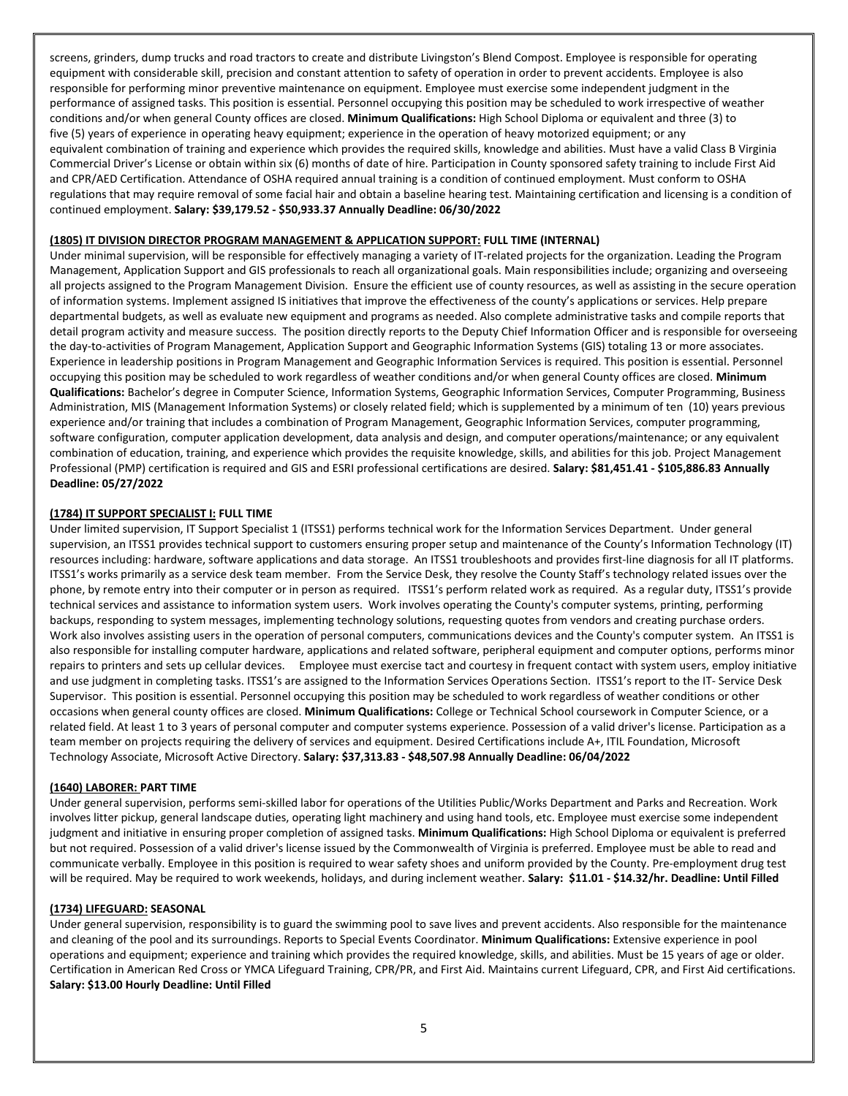screens, grinders, dump trucks and road tractors to create and distribute Livingston's Blend Compost. Employee is responsible for operating equipment with considerable skill, precision and constant attention to safety of operation in order to prevent accidents. Employee is also responsible for performing minor preventive maintenance on equipment. Employee must exercise some independent judgment in the performance of assigned tasks. This position is essential. Personnel occupying this position may be scheduled to work irrespective of weather conditions and/or when general County offices are closed. **Minimum Qualifications:** High School Diploma or equivalent and three (3) to five (5) years of experience in operating heavy equipment; experience in the operation of heavy motorized equipment; or any equivalent combination of training and experience which provides the required skills, knowledge and abilities. Must have a valid Class B Virginia Commercial Driver's License or obtain within six (6) months of date of hire. Participation in County sponsored safety training to include First Aid and CPR/AED Certification. Attendance of OSHA required annual training is a condition of continued employment. Must conform to OSHA regulations that may require removal of some facial hair and obtain a baseline hearing test. Maintaining certification and licensing is a condition of continued employment. **Salary: \$39,179.52 - \$50,933.37 Annually Deadline: 06/30/2022**

#### **(1805) IT DIVISION DIRECTOR PROGRAM MANAGEMENT & APPLICATION SUPPORT: FULL TIME (INTERNAL)**

Under minimal supervision, will be responsible for effectively managing a variety of IT-related projects for the organization. Leading the Program Management, Application Support and GIS professionals to reach all organizational goals. Main responsibilities include; organizing and overseeing all projects assigned to the Program Management Division. Ensure the efficient use of county resources, as well as assisting in the secure operation of information systems. Implement assigned IS initiatives that improve the effectiveness of the county's applications or services. Help prepare departmental budgets, as well as evaluate new equipment and programs as needed. Also complete administrative tasks and compile reports that detail program activity and measure success. The position directly reports to the Deputy Chief Information Officer and is responsible for overseeing the day-to-activities of Program Management, Application Support and Geographic Information Systems (GIS) totaling 13 or more associates. Experience in leadership positions in Program Management and Geographic Information Services is required. This position is essential. Personnel occupying this position may be scheduled to work regardless of weather conditions and/or when general County offices are closed. **Minimum Qualifications:** Bachelor's degree in Computer Science, Information Systems, Geographic Information Services, Computer Programming, Business Administration, MIS (Management Information Systems) or closely related field; which is supplemented by a minimum of ten (10) years previous experience and/or training that includes a combination of Program Management, Geographic Information Services, computer programming, software configuration, computer application development, data analysis and design, and computer operations/maintenance; or any equivalent combination of education, training, and experience which provides the requisite knowledge, skills, and abilities for this job. Project Management Professional (PMP) certification is required and GIS and ESRI professional certifications are desired. **Salary: \$81,451.41 - \$105,886.83 Annually Deadline: 05/27/2022**

#### **(1784) IT SUPPORT SPECIALIST I: FULL TIME**

Under limited supervision, IT Support Specialist 1 (ITSS1) performs technical work for the Information Services Department. Under general supervision, an ITSS1 provides technical support to customers ensuring proper setup and maintenance of the County's Information Technology (IT) resources including: hardware, software applications and data storage. An ITSS1 troubleshoots and provides first-line diagnosis for all IT platforms. ITSS1's works primarily as a service desk team member. From the Service Desk, they resolve the County Staff's technology related issues over the phone, by remote entry into their computer or in person as required. ITSS1's perform related work as required. As a regular duty, ITSS1's provide technical services and assistance to information system users. Work involves operating the County's computer systems, printing, performing backups, responding to system messages, implementing technology solutions, requesting quotes from vendors and creating purchase orders. Work also involves assisting users in the operation of personal computers, communications devices and the County's computer system. An ITSS1 is also responsible for installing computer hardware, applications and related software, peripheral equipment and computer options, performs minor repairs to printers and sets up cellular devices. Employee must exercise tact and courtesy in frequent contact with system users, employ initiative and use judgment in completing tasks. ITSS1's are assigned to the Information Services Operations Section. ITSS1's report to the IT- Service Desk Supervisor. This position is essential. Personnel occupying this position may be scheduled to work regardless of weather conditions or other occasions when general county offices are closed. **Minimum Qualifications:** College or Technical School coursework in Computer Science, or a related field. At least 1 to 3 years of personal computer and computer systems experience. Possession of a valid driver's license. Participation as a team member on projects requiring the delivery of services and equipment. Desired Certifications include A+, ITIL Foundation, Microsoft Technology Associate, Microsoft Active Directory. **Salary: \$37,313.83 - \$48,507.98 Annually Deadline: 06/04/2022**

#### **(1640) LABORER: PART TIME**

Under general supervision, performs semi-skilled labor for operations of the Utilities Public/Works Department and Parks and Recreation. Work involves litter pickup, general landscape duties, operating light machinery and using hand tools, etc. Employee must exercise some independent judgment and initiative in ensuring proper completion of assigned tasks. **Minimum Qualifications:** High School Diploma or equivalent is preferred but not required. Possession of a valid driver's license issued by the Commonwealth of Virginia is preferred. Employee must be able to read and communicate verbally. Employee in this position is required to wear safety shoes and uniform provided by the County. Pre-employment drug test will be required. May be required to work weekends, holidays, and during inclement weather. **Salary: \$11.01 - \$14.32/hr. Deadline: Until Filled**

#### **(1734) LIFEGUARD: SEASONAL**

Under general supervision, responsibility is to guard the swimming pool to save lives and prevent accidents. Also responsible for the maintenance and cleaning of the pool and its surroundings. Reports to Special Events Coordinator. **Minimum Qualifications:** Extensive experience in pool operations and equipment; experience and training which provides the required knowledge, skills, and abilities. Must be 15 years of age or older. Certification in American Red Cross or YMCA Lifeguard Training, CPR/PR, and First Aid. Maintains current Lifeguard, CPR, and First Aid certifications. **Salary: \$13.00 Hourly Deadline: Until Filled**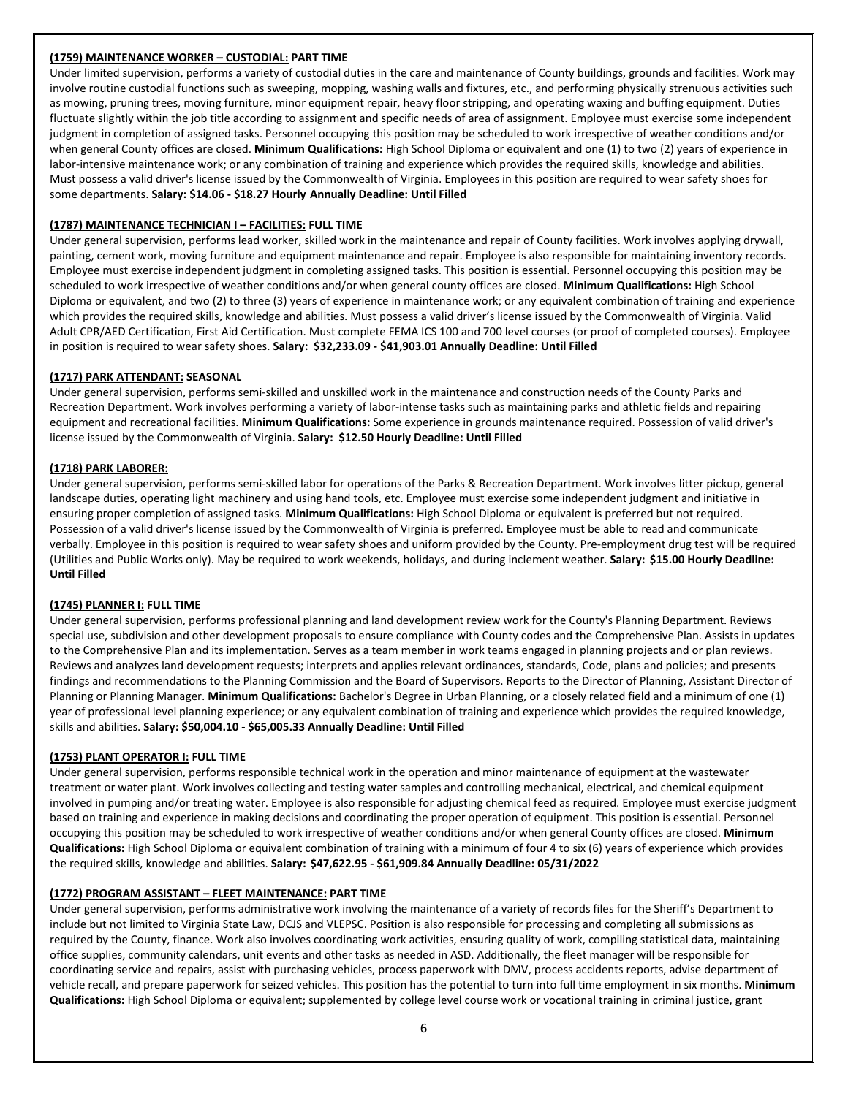## **(1759) MAINTENANCE WORKER – CUSTODIAL: PART TIME**

Under limited supervision, performs a variety of custodial duties in the care and maintenance of County buildings, grounds and facilities. Work may involve routine custodial functions such as sweeping, mopping, washing walls and fixtures, etc., and performing physically strenuous activities such as mowing, pruning trees, moving furniture, minor equipment repair, heavy floor stripping, and operating waxing and buffing equipment. Duties fluctuate slightly within the job title according to assignment and specific needs of area of assignment. Employee must exercise some independent judgment in completion of assigned tasks. Personnel occupying this position may be scheduled to work irrespective of weather conditions and/or when general County offices are closed. **Minimum Qualifications:** High School Diploma or equivalent and one (1) to two (2) years of experience in labor-intensive maintenance work; or any combination of training and experience which provides the required skills, knowledge and abilities. Must possess a valid driver's license issued by the Commonwealth of Virginia. Employees in this position are required to wear safety shoes for some departments. **Salary: \$14.06 - \$18.27 Hourly Annually Deadline: Until Filled**

## **(1787) MAINTENANCE TECHNICIAN I – FACILITIES: FULL TIME**

Under general supervision, performs lead worker, skilled work in the maintenance and repair of County facilities. Work involves applying drywall, painting, cement work, moving furniture and equipment maintenance and repair. Employee is also responsible for maintaining inventory records. Employee must exercise independent judgment in completing assigned tasks. This position is essential. Personnel occupying this position may be scheduled to work irrespective of weather conditions and/or when general county offices are closed. **Minimum Qualifications:** High School Diploma or equivalent, and two (2) to three (3) years of experience in maintenance work; or any equivalent combination of training and experience which provides the required skills, knowledge and abilities. Must possess a valid driver's license issued by the Commonwealth of Virginia. Valid Adult CPR/AED Certification, First Aid Certification. Must complete FEMA ICS 100 and 700 level courses (or proof of completed courses). Employee in position is required to wear safety shoes. **Salary: \$32,233.09 - \$41,903.01 Annually Deadline: Until Filled**

## **(1717) PARK ATTENDANT: SEASONAL**

Under general supervision, performs semi-skilled and unskilled work in the maintenance and construction needs of the County Parks and Recreation Department. Work involves performing a variety of labor-intense tasks such as maintaining parks and athletic fields and repairing equipment and recreational facilities. **Minimum Qualifications:** Some experience in grounds maintenance required. Possession of valid driver's license issued by the Commonwealth of Virginia. **Salary: \$12.50 Hourly Deadline: Until Filled**

#### **(1718) PARK LABORER:**

Under general supervision, performs semi-skilled labor for operations of the Parks & Recreation Department. Work involves litter pickup, general landscape duties, operating light machinery and using hand tools, etc. Employee must exercise some independent judgment and initiative in ensuring proper completion of assigned tasks. **Minimum Qualifications:** High School Diploma or equivalent is preferred but not required. Possession of a valid driver's license issued by the Commonwealth of Virginia is preferred. Employee must be able to read and communicate verbally. Employee in this position is required to wear safety shoes and uniform provided by the County. Pre-employment drug test will be required (Utilities and Public Works only). May be required to work weekends, holidays, and during inclement weather. **Salary: \$15.00 Hourly Deadline: Until Filled**

#### **(1745) PLANNER I: FULL TIME**

Under general supervision, performs professional planning and land development review work for the County's Planning Department. Reviews special use, subdivision and other development proposals to ensure compliance with County codes and the Comprehensive Plan. Assists in updates to the Comprehensive Plan and its implementation. Serves as a team member in work teams engaged in planning projects and or plan reviews. Reviews and analyzes land development requests; interprets and applies relevant ordinances, standards, Code, plans and policies; and presents findings and recommendations to the Planning Commission and the Board of Supervisors. Reports to the Director of Planning, Assistant Director of Planning or Planning Manager. **Minimum Qualifications:** Bachelor's Degree in Urban Planning, or a closely related field and a minimum of one (1) year of professional level planning experience; or any equivalent combination of training and experience which provides the required knowledge, skills and abilities. **Salary: \$50,004.10 - \$65,005.33 Annually Deadline: Until Filled**

#### **(1753) PLANT OPERATOR I: FULL TIME**

Under general supervision, performs responsible technical work in the operation and minor maintenance of equipment at the wastewater treatment or water plant. Work involves collecting and testing water samples and controlling mechanical, electrical, and chemical equipment involved in pumping and/or treating water. Employee is also responsible for adjusting chemical feed as required. Employee must exercise judgment based on training and experience in making decisions and coordinating the proper operation of equipment. This position is essential. Personnel occupying this position may be scheduled to work irrespective of weather conditions and/or when general County offices are closed. **Minimum Qualifications:** High School Diploma or equivalent combination of training with a minimum of four 4 to six (6) years of experience which provides the required skills, knowledge and abilities. **Salary: \$47,622.95 - \$61,909.84 Annually Deadline: 05/31/2022**

#### **(1772) PROGRAM ASSISTANT – FLEET MAINTENANCE: PART TIME**

Under general supervision, performs administrative work involving the maintenance of a variety of records files for the Sheriff's Department to include but not limited to Virginia State Law, DCJS and VLEPSC. Position is also responsible for processing and completing all submissions as required by the County, finance. Work also involves coordinating work activities, ensuring quality of work, compiling statistical data, maintaining office supplies, community calendars, unit events and other tasks as needed in ASD. Additionally, the fleet manager will be responsible for coordinating service and repairs, assist with purchasing vehicles, process paperwork with DMV, process accidents reports, advise department of vehicle recall, and prepare paperwork for seized vehicles. This position has the potential to turn into full time employment in six months. **Minimum Qualifications:** High School Diploma or equivalent; supplemented by college level course work or vocational training in criminal justice, grant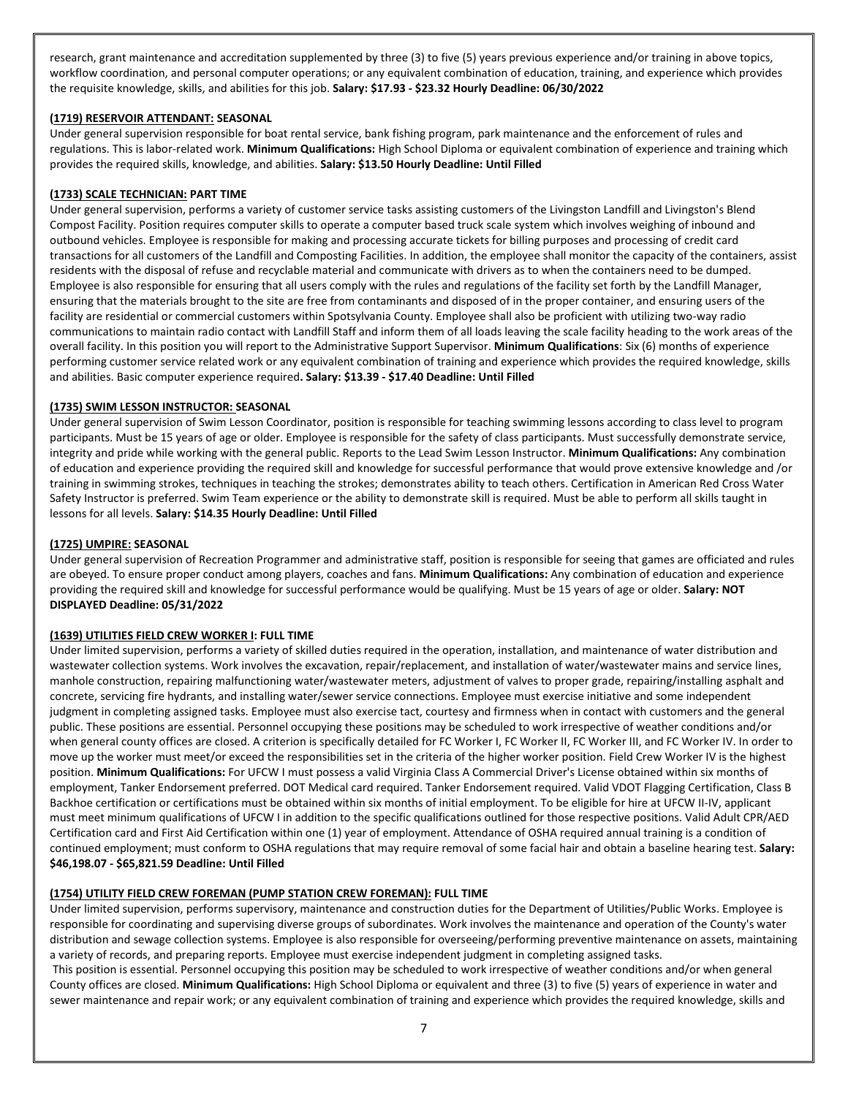research, grant maintenance and accreditation supplemented by three (3) to five (5) years previous experience and/or training in above topics, workflow coordination, and personal computer operations; or any equivalent combination of education, training, and experience which provides the requisite knowledge, skills, and abilities for this job. **Salary: \$17.93 - \$23.32 Hourly Deadline: 06/30/2022**

# **(1719) RESERVOIR ATTENDANT: SEASONAL**

Under general supervision responsible for boat rental service, bank fishing program, park maintenance and the enforcement of rules and regulations. This is labor-related work. **Minimum Qualifications:** High School Diploma or equivalent combination of experience and training which provides the required skills, knowledge, and abilities. **Salary: \$13.50 Hourly Deadline: Until Filled**

## **(1733) SCALE TECHNICIAN: PART TIME**

Under general supervision, performs a variety of customer service tasks assisting customers of the Livingston Landfill and Livingston's Blend Compost Facility. Position requires computer skills to operate a computer based truck scale system which involves weighing of inbound and outbound vehicles. Employee is responsible for making and processing accurate tickets for billing purposes and processing of credit card transactions for all customers of the Landfill and Composting Facilities. In addition, the employee shall monitor the capacity of the containers, assist residents with the disposal of refuse and recyclable material and communicate with drivers as to when the containers need to be dumped. Employee is also responsible for ensuring that all users comply with the rules and regulations of the facility set forth by the Landfill Manager, ensuring that the materials brought to the site are free from contaminants and disposed of in the proper container, and ensuring users of the facility are residential or commercial customers within Spotsylvania County. Employee shall also be proficient with utilizing two-way radio communications to maintain radio contact with Landfill Staff and inform them of all loads leaving the scale facility heading to the work areas of the overall facility. In this position you will report to the Administrative Support Supervisor. **Minimum Qualifications**: Six (6) months of experience performing customer service related work or any equivalent combination of training and experience which provides the required knowledge, skills and abilities. Basic computer experience required**. Salary: \$13.39 - \$17.40 Deadline: Until Filled**

## **(1735) SWIM LESSON INSTRUCTOR: SEASONAL**

Under general supervision of Swim Lesson Coordinator, position is responsible for teaching swimming lessons according to class level to program participants. Must be 15 years of age or older. Employee is responsible for the safety of class participants. Must successfully demonstrate service, integrity and pride while working with the general public. Reports to the Lead Swim Lesson Instructor. **Minimum Qualifications:** Any combination of education and experience providing the required skill and knowledge for successful performance that would prove extensive knowledge and /or training in swimming strokes, techniques in teaching the strokes; demonstrates ability to teach others. Certification in American Red Cross Water Safety Instructor is preferred. Swim Team experience or the ability to demonstrate skill is required. Must be able to perform all skills taught in lessons for all levels. **Salary: \$14.35 Hourly Deadline: Until Filled**

#### **(1725) UMPIRE: SEASONAL**

Under general supervision of Recreation Programmer and administrative staff, position is responsible for seeing that games are officiated and rules are obeyed. To ensure proper conduct among players, coaches and fans. **Minimum Qualifications:** Any combination of education and experience providing the required skill and knowledge for successful performance would be qualifying. Must be 15 years of age or older. **Salary: NOT DISPLAYED Deadline: 05/31/2022**

#### **(1639) UTILITIES FIELD CREW WORKER I: FULL TIME**

Under limited supervision, performs a variety of skilled duties required in the operation, installation, and maintenance of water distribution and wastewater collection systems. Work involves the excavation, repair/replacement, and installation of water/wastewater mains and service lines, manhole construction, repairing malfunctioning water/wastewater meters, adjustment of valves to proper grade, repairing/installing asphalt and concrete, servicing fire hydrants, and installing water/sewer service connections. Employee must exercise initiative and some independent judgment in completing assigned tasks. Employee must also exercise tact, courtesy and firmness when in contact with customers and the general public. These positions are essential. Personnel occupying these positions may be scheduled to work irrespective of weather conditions and/or when general county offices are closed. A criterion is specifically detailed for FC Worker I, FC Worker II, FC Worker III, and FC Worker IV. In order to move up the worker must meet/or exceed the responsibilities set in the criteria of the higher worker position. Field Crew Worker IV is the highest position. **Minimum Qualifications:** For UFCW I must possess a valid Virginia Class A Commercial Driver's License obtained within six months of employment, Tanker Endorsement preferred. DOT Medical card required. Tanker Endorsement required. Valid VDOT Flagging Certification, Class B Backhoe certification or certifications must be obtained within six months of initial employment. To be eligible for hire at UFCW II-IV, applicant must meet minimum qualifications of UFCW I in addition to the specific qualifications outlined for those respective positions. Valid Adult CPR/AED Certification card and First Aid Certification within one (1) year of employment. Attendance of OSHA required annual training is a condition of continued employment; must conform to OSHA regulations that may require removal of some facial hair and obtain a baseline hearing test. **Salary: \$46,198.07 - \$65,821.59 Deadline: Until Filled**

#### **(1754) UTILITY FIELD CREW FOREMAN (PUMP STATION CREW FOREMAN): FULL TIME**

Under limited supervision, performs supervisory, maintenance and construction duties for the Department of Utilities/Public Works. Employee is responsible for coordinating and supervising diverse groups of subordinates. Work involves the maintenance and operation of the County's water distribution and sewage collection systems. Employee is also responsible for overseeing/performing preventive maintenance on assets, maintaining a variety of records, and preparing reports. Employee must exercise independent judgment in completing assigned tasks.

This position is essential. Personnel occupying this position may be scheduled to work irrespective of weather conditions and/or when general County offices are closed. **Minimum Qualifications:** High School Diploma or equivalent and three (3) to five (5) years of experience in water and sewer maintenance and repair work; or any equivalent combination of training and experience which provides the required knowledge, skills and